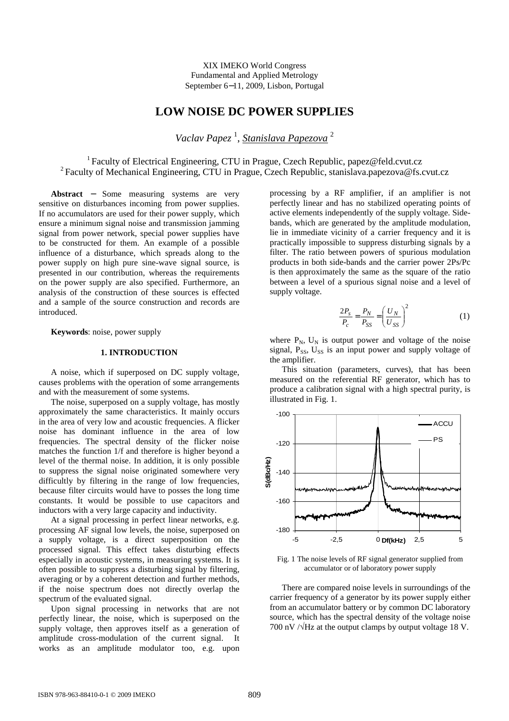XIX IMEKO World Congress Fundamental and Applied Metrology September 6−11, 2009, Lisbon, Portugal

# **LOW NOISE DC POWER SUPPLIES**

*Vaclav Papez* <sup>1</sup> , *Stanislava Papezova* <sup>2</sup>

<sup>1</sup>Faculty of Electrical Engineering, CTU in Prague, Czech Republic, papez@feld.cvut.cz <sup>2</sup> Faculty of Mechanical Engineering, CTU in Prague, Czech Republic, stanislava.papezova@fs.cvut.cz

**Abstract** − Some measuring systems are very sensitive on disturbances incoming from power supplies. If no accumulators are used for their power supply, which ensure a minimum signal noise and transmission jamming signal from power network, special power supplies have to be constructed for them. An example of a possible influence of a disturbance, which spreads along to the power supply on high pure sine-wave signal source, is presented in our contribution, whereas the requirements on the power supply are also specified. Furthermore, an analysis of the construction of these sources is effected and a sample of the source construction and records are introduced.

**Keywords**: noise, power supply

## **1. INTRODUCTION**

A noise, which if superposed on DC supply voltage, causes problems with the operation of some arrangements and with the measurement of some systems.

The noise, superposed on a supply voltage, has mostly approximately the same characteristics. It mainly occurs in the area of very low and acoustic frequencies. A flicker noise has dominant influence in the area of low frequencies. The spectral density of the flicker noise matches the function 1/f and therefore is higher beyond a level of the thermal noise. In addition, it is only possible to suppress the signal noise originated somewhere very difficultly by filtering in the range of low frequencies, because filter circuits would have to posses the long time constants. It would be possible to use capacitors and inductors with a very large capacity and inductivity.

At a signal processing in perfect linear networks, e.g. processing AF signal low levels, the noise, superposed on a supply voltage, is a direct superposition on the processed signal. This effect takes disturbing effects especially in acoustic systems, in measuring systems. It is often possible to suppress a disturbing signal by filtering, averaging or by a coherent detection and further methods, if the noise spectrum does not directly overlap the spectrum of the evaluated signal.

Upon signal processing in networks that are not perfectly linear, the noise, which is superposed on the supply voltage, then approves itself as a generation of amplitude cross-modulation of the current signal. It works as an amplitude modulator too, e.g. upon processing by a RF amplifier, if an amplifier is not perfectly linear and has no stabilized operating points of active elements independently of the supply voltage. Sidebands, which are generated by the amplitude modulation, lie in immediate vicinity of a carrier frequency and it is practically impossible to suppress disturbing signals by a filter. The ratio between powers of spurious modulation products in both side-bands and the carrier power 2Ps/Pc is then approximately the same as the square of the ratio between a level of a spurious signal noise and a level of supply voltage.

$$
\frac{2P_s}{P_c} = \frac{P_N}{P_{SS}} = \left(\frac{U_N}{U_{SS}}\right)^2\tag{1}
$$

where  $P_N$ ,  $U_N$  is output power and voltage of the noise signal,  $P_{SS}$ ,  $U_{SS}$  is an input power and supply voltage of the amplifier.

This situation (parameters, curves), that has been measured on the referential RF generator, which has to produce a calibration signal with a high spectral purity, is illustrated in Fig. 1.



Fig. 1 The noise levels of RF signal generator supplied from accumulator or of laboratory power supply

There are compared noise levels in surroundings of the carrier frequency of a generator by its power supply either from an accumulator battery or by common DC laboratory source, which has the spectral density of the voltage noise 700 nV  $\sqrt{Hz}$  at the output clamps by output voltage 18 V.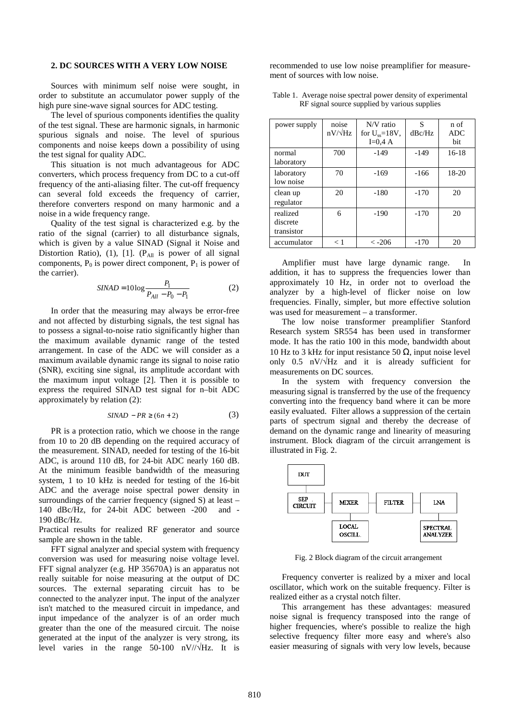## **2. DC SOURCES WITH A VERY LOW NOISE**

Sources with minimum self noise were sought, in order to substitute an accumulator power supply of the high pure sine-wave signal sources for ADC testing.

The level of spurious components identifies the quality of the test signal. These are harmonic signals, in harmonic spurious signals and noise. The level of spurious components and noise keeps down a possibility of using the test signal for quality ADC.

This situation is not much advantageous for ADC converters, which process frequency from DC to a cut-off frequency of the anti-aliasing filter. The cut-off frequency can several fold exceeds the frequency of carrier, therefore converters respond on many harmonic and a noise in a wide frequency range.

Quality of the test signal is characterized e.g. by the ratio of the signal (carrier) to all disturbance signals, which is given by a value SINAD (Signal it Noise and Distortion Ratio), (1), [1]. ( $P_{All}$  is power of all signal components,  $P_0$  is power direct component,  $P_1$  is power of the carrier).

$$
SINAD = 10\log \frac{P_1}{P_{All} - P_0 - P_1}
$$
 (2)

In order that the measuring may always be error-free and not affected by disturbing signals, the test signal has to possess a signal-to-noise ratio significantly higher than the maximum available dynamic range of the tested arrangement. In case of the ADC we will consider as a maximum available dynamic range its signal to noise ratio (SNR), exciting sine signal, its amplitude accordant with the maximum input voltage [2]. Then it is possible to express the required SINAD test signal for n–bit ADC approximately by relation (2):

$$
SINAD - PR \ge (6n + 2) \tag{3}
$$

PR is a protection ratio, which we choose in the range from 10 to 20 dB depending on the required accuracy of the measurement. SINAD, needed for testing of the 16-bit ADC, is around 110 dB, for 24-bit ADC nearly 160 dB. At the minimum feasible bandwidth of the measuring system, 1 to 10 kHz is needed for testing of the 16-bit ADC and the average noise spectral power density in surroundings of the carrier frequency (signed S) at least – 140 dBc/Hz, for 24-bit ADC between -200 and - 190 dBc/Hz.

Practical results for realized RF generator and source sample are shown in the table.

FFT signal analyzer and special system with frequency conversion was used for measuring noise voltage level. FFT signal analyzer (e.g. HP 35670A) is an apparatus not really suitable for noise measuring at the output of DC sources. The external separating circuit has to be connected to the analyzer input. The input of the analyzer isn't matched to the measured circuit in impedance, and input impedance of the analyzer is of an order much greater than the one of the measured circuit. The noise generated at the input of the analyzer is very strong, its level varies in the range 50-100 nV//√Hz. It is

recommended to use low noise preamplifier for measurement of sources with low noise.

|  |                                               | Table 1. Average noise spectral power density of experimental |  |
|--|-----------------------------------------------|---------------------------------------------------------------|--|
|  | RF signal source supplied by various supplies |                                                               |  |

| power supply                       | noise<br>$nV/\sqrt{Hz}$ | $N/V$ ratio<br>for $U_{ss} = 18V$ , | S<br>dBc/Hz | n of<br><b>ADC</b> |
|------------------------------------|-------------------------|-------------------------------------|-------------|--------------------|
|                                    |                         | $I=0.4 A$                           |             | <b>bit</b>         |
| normal<br>laboratory               | 700                     | $-149$                              | $-149$      | $16-18$            |
| laboratory<br>low noise            | 70                      | $-169$                              | $-166$      | $18-20$            |
| clean up<br>regulator              | 20                      | $-180$                              | $-170$      | 20                 |
| realized<br>discrete<br>transistor | 6                       | $-190$                              | $-170$      | 20                 |
| accumulator                        | < 1                     | $\langle -206 \rangle$              | $-170$      | 20                 |

Amplifier must have large dynamic range. In addition, it has to suppress the frequencies lower than approximately 10 Hz, in order not to overload the analyzer by a high-level of flicker noise on low frequencies. Finally, simpler, but more effective solution was used for measurement – a transformer.

The low noise transformer preamplifier Stanford Research system SR554 has been used in transformer mode. It has the ratio 100 in this mode, bandwidth about 10 Hz to 3 kHz for input resistance 50  $\Omega$ , input noise level only 0.5 nV/√Hz and it is already sufficient for measurements on DC sources.

In the system with frequency conversion the measuring signal is transferred by the use of the frequency converting into the frequency band where it can be more easily evaluated. Filter allows a suppression of the certain parts of spectrum signal and thereby the decrease of demand on the dynamic range and linearity of measuring instrument. Block diagram of the circuit arrangement is illustrated in Fig. 2.



Fig. 2 Block diagram of the circuit arrangement

Frequency converter is realized by a mixer and local oscillator, which work on the suitable frequency. Filter is realized either as a crystal notch filter.

This arrangement has these advantages: measured noise signal is frequency transposed into the range of higher frequencies, where's possible to realize the high selective frequency filter more easy and where's also easier measuring of signals with very low levels, because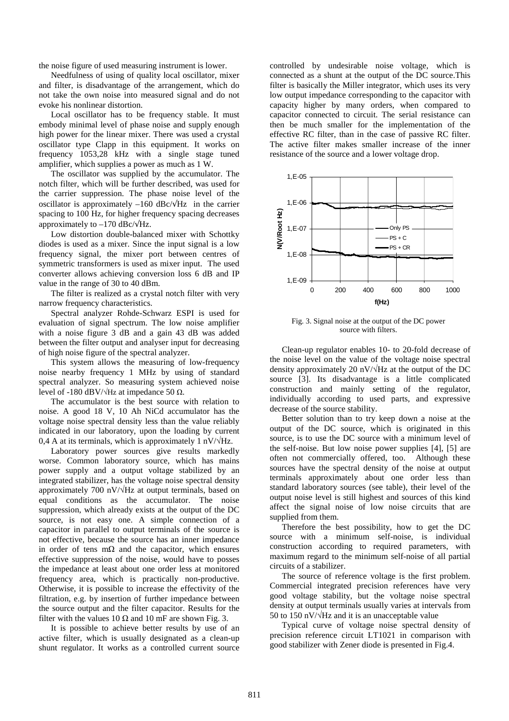the noise figure of used measuring instrument is lower.

Needfulness of using of quality local oscillator, mixer and filter, is disadvantage of the arrangement, which do not take the own noise into measured signal and do not evoke his nonlinear distortion.

Local oscillator has to be frequency stable. It must embody minimal level of phase noise and supply enough high power for the linear mixer. There was used a crystal oscillator type Clapp in this equipment. It works on frequency 1053,28 kHz with a single stage tuned amplifier, which supplies a power as much as 1 W.

The oscillator was supplied by the accumulator. The notch filter, which will be further described, was used for the carrier suppression. The phase noise level of the oscillator is approximately –160 dBc/ $\sqrt{Hz}$  in the carrier spacing to 100 Hz, for higher frequency spacing decreases approximately to  $-170$  dBc/ $\sqrt{\text{Hz}}$ .

Low distortion double-balanced mixer with Schottky diodes is used as a mixer. Since the input signal is a low frequency signal, the mixer port between centres of symmetric transformers is used as mixer input. The used converter allows achieving conversion loss 6 dB and IP value in the range of 30 to 40 dBm.

The filter is realized as a crystal notch filter with very narrow frequency characteristics.

Spectral analyzer Rohde-Schwarz ESPI is used for evaluation of signal spectrum. The low noise amplifier with a noise figure 3 dB and a gain 43 dB was added between the filter output and analyser input for decreasing of high noise figure of the spectral analyzer.

This system allows the measuring of low-frequency noise nearby frequency 1 MHz by using of standard spectral analyzer. So measuring system achieved noise level of -180 dBV/ $\sqrt{Hz}$  at impedance 50 Ω.

The accumulator is the best source with relation to noise. A good 18 V, 10 Ah NiCd accumulator has the voltage noise spectral density less than the value reliably indicated in our laboratory, upon the loading by current 0,4 A at its terminals, which is approximately 1 nV/ $\sqrt{Hz}$ .

Laboratory power sources give results markedly worse. Common laboratory source, which has mains power supply and a output voltage stabilized by an integrated stabilizer, has the voltage noise spectral density approximately 700 nV/ $\sqrt{Hz}$  at output terminals, based on equal conditions as the accumulator. The noise suppression, which already exists at the output of the DC source, is not easy one. A simple connection of a capacitor in parallel to output terminals of the source is not effective, because the source has an inner impedance in order of tens m $\Omega$  and the capacitor, which ensures effective suppression of the noise, would have to posses the impedance at least about one order less at monitored frequency area, which is practically non-productive. Otherwise, it is possible to increase the effectivity of the filtration, e.g. by insertion of further impedance between the source output and the filter capacitor. Results for the filter with the values 10  $\Omega$  and 10 mF are shown Fig. 3.

It is possible to achieve better results by use of an active filter, which is usually designated as a clean-up shunt regulator. It works as a controlled current source

controlled by undesirable noise voltage, which is connected as a shunt at the output of the DC source.This filter is basically the Miller integrator, which uses its very low output impedance corresponding to the capacitor with capacity higher by many orders, when compared to capacitor connected to circuit. The serial resistance can then be much smaller for the implementation of the effective RC filter, than in the case of passive RC filter. The active filter makes smaller increase of the inner resistance of the source and a lower voltage drop.



Fig. 3. Signal noise at the output of the DC power source with filters.

Clean-up regulator enables 10- to 20-fold decrease of the noise level on the value of the voltage noise spectral density approximately 20 nV/ $\sqrt{Hz}$  at the output of the DC source [3]. Its disadvantage is a little complicated construction and mainly setting of the regulator, individually according to used parts, and expressive decrease of the source stability.

Better solution than to try keep down a noise at the output of the DC source, which is originated in this source, is to use the DC source with a minimum level of the self-noise. But low noise power supplies [4], [5] are often not commercially offered, too. Although these sources have the spectral density of the noise at output terminals approximately about one order less than standard laboratory sources (see table), their level of the output noise level is still highest and sources of this kind affect the signal noise of low noise circuits that are supplied from them.

Therefore the best possibility, how to get the DC source with a minimum self-noise, is individual construction according to required parameters, with maximum regard to the minimum self-noise of all partial circuits of a stabilizer.

The source of reference voltage is the first problem. Commercial integrated precision references have very good voltage stability, but the voltage noise spectral density at output terminals usually varies at intervals from 50 to 150 nV/ $\sqrt{Hz}$  and it is an unacceptable value

Typical curve of voltage noise spectral density of precision reference circuit LT1021 in comparison with good stabilizer with Zener diode is presented in Fig.4.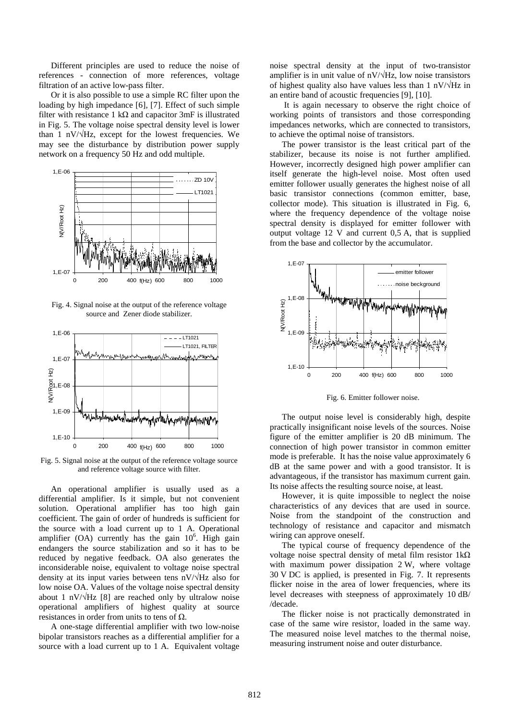Different principles are used to reduce the noise of references - connection of more references, voltage filtration of an active low-pass filter.

Or it is also possible to use a simple RC filter upon the loading by high impedance [6], [7]. Effect of such simple filter with resistance 1 k $\Omega$  and capacitor 3mF is illustrated in Fig. 5. The voltage noise spectral density level is lower than 1 nV/ $\sqrt{Hz}$ , except for the lowest frequencies. We may see the disturbance by distribution power supply network on a frequency 50 Hz and odd multiple.



Fig. 4. Signal noise at the output of the reference voltage source and Zener diode stabilizer.



Fig. 5. Signal noise at the output of the reference voltage source and reference voltage source with filter.

An operational amplifier is usually used as a differential amplifier. Is it simple, but not convenient solution. Operational amplifier has too high gain coefficient. The gain of order of hundreds is sufficient for the source with a load current up to 1 A. Operational amplifier  $(OA)$  currently has the gain  $10<sup>6</sup>$ . High gain endangers the source stabilization and so it has to be reduced by negative feedback. OA also generates the inconsiderable noise, equivalent to voltage noise spectral density at its input varies between tens nV/√Hz also for low noise OA. Values of the voltage noise spectral density about 1 nV/ $\sqrt{Hz}$  [8] are reached only by ultralow noise operational amplifiers of highest quality at source resistances in order from units to tens of  $\Omega$ .

A one-stage differential amplifier with two low-noise bipolar transistors reaches as a differential amplifier for a source with a load current up to 1 A. Equivalent voltage noise spectral density at the input of two-transistor amplifier is in unit value of  $nV/\sqrt{Hz}$ , low noise transistors of highest quality also have values less than 1 nV/ $\sqrt{Hz}$  in an entire band of acoustic frequencies [9], [10].

 It is again necessary to observe the right choice of working points of transistors and those corresponding impedances networks, which are connected to transistors, to achieve the optimal noise of transistors.

The power transistor is the least critical part of the stabilizer, because its noise is not further amplified. However, incorrectly designed high power amplifier can itself generate the high-level noise. Most often used emitter follower usually generates the highest noise of all basic transistor connections (common emitter, base, collector mode). This situation is illustrated in Fig. 6, where the frequency dependence of the voltage noise spectral density is displayed for emitter follower with output voltage 12 V and current 0,5 A, that is supplied from the base and collector by the accumulator.



Fig. 6. Emitter follower noise.

The output noise level is considerably high, despite practically insignificant noise levels of the sources. Noise figure of the emitter amplifier is 20 dB minimum. The connection of high power transistor in common emitter mode is preferable. It has the noise value approximately 6 dB at the same power and with a good transistor. It is advantageous, if the transistor has maximum current gain. Its noise affects the resulting source noise, at least.

However, it is quite impossible to neglect the noise characteristics of any devices that are used in source. Noise from the standpoint of the construction and technology of resistance and capacitor and mismatch wiring can approve oneself.

The typical course of frequency dependence of the voltage noise spectral density of metal film resistor  $1kΩ$ with maximum power dissipation 2 W, where voltage 30 V DC is applied, is presented in Fig. 7. It represents flicker noise in the area of lower frequencies, where its level decreases with steepness of approximately 10 dB/ /decade.

The flicker noise is not practically demonstrated in case of the same wire resistor, loaded in the same way. The measured noise level matches to the thermal noise, measuring instrument noise and outer disturbance.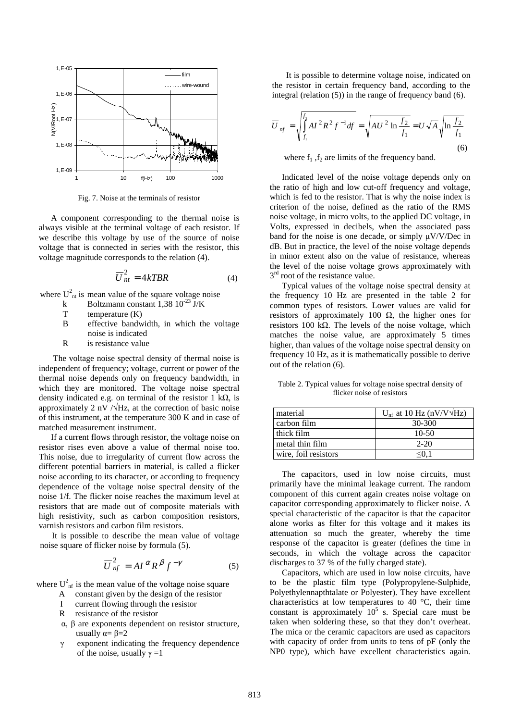

Fig. 7. Noise at the terminals of resistor

A component corresponding to the thermal noise is always visible at the terminal voltage of each resistor. If we describe this voltage by use of the source of noise voltage that is connected in series with the resistor, this voltage magnitude corresponds to the relation (4).

$$
\overline{U}_{nt}^{2} = 4kTBR
$$
 (4)

where  $U_{nt}^2$  is mean value of the square voltage noise

- k Boltzmann constant 1,38  $10^{-23}$  J/K<br>T temperature (K)
- T temperature (K)<br>B effective bandy
- effective bandwidth, in which the voltage noise is indicated
- R is resistance value

 The voltage noise spectral density of thermal noise is independent of frequency; voltage, current or power of the thermal noise depends only on frequency bandwidth, in which they are monitored. The voltage noise spectral density indicated e.g. on terminal of the resistor 1 k $\Omega$ , is approximately 2 nV  $/\sqrt{Hz}$ , at the correction of basic noise of this instrument, at the temperature 300 K and in case of matched measurement instrument.

If a current flows through resistor, the voltage noise on resistor rises even above a value of thermal noise too. This noise, due to irregularity of current flow across the different potential barriers in material, is called a flicker noise according to its character, or according to frequency dependence of the voltage noise spectral density of the noise 1/f. The flicker noise reaches the maximum level at resistors that are made out of composite materials with high resistivity, such as carbon composition resistors, varnish resistors and carbon film resistors.

It is possible to describe the mean value of voltage noise square of flicker noise by formula (5).

$$
\overline{U}_{nf}^2 = A I^{\alpha} R^{\beta} f^{-\gamma} \tag{5}
$$

where  $U_{\text{nf}}^2$  is the mean value of the voltage noise square

- A constant given by the design of the resistor
- I current flowing through the resistor
- R resistance of the resistor
- α, β are exponents dependent on resistor structure, usually  $\alpha = \beta = 2$
- γ exponent indicating the frequency dependence of the noise, usually  $\gamma = 1$

 It is possible to determine voltage noise, indicated on the resistor in certain frequency band, according to the integral (relation (5)) in the range of frequency band (6).

$$
\overline{U}_{nf} = \sqrt{\int_{f_1}^{f_2} A I^2 R^2 f^{-1} df} = \sqrt{A U^2 \ln \frac{f_2}{f_1}} = U \sqrt{A} \sqrt{\ln \frac{f_2}{f_1}}
$$
\n(6)

where  $f_1$ ,  $f_2$  are limits of the frequency band.

Indicated level of the noise voltage depends only on the ratio of high and low cut-off frequency and voltage, which is fed to the resistor. That is why the noise index is criterion of the noise, defined as the ratio of the RMS noise voltage, in micro volts, to the applied DC voltage, in Volts, expressed in decibels, when the associated pass band for the noise is one decade, or simply  $\mu$ V/V/Dec in dB. But in practice, the level of the noise voltage depends in minor extent also on the value of resistance, whereas the level of the noise voltage grows approximately with  $3<sup>rd</sup>$  root of the resistance value.

Typical values of the voltage noise spectral density at the frequency 10 Hz are presented in the table 2 for common types of resistors. Lower values are valid for resistors of approximately 100  $\Omega$ , the higher ones for resistors 100 kΩ. The levels of the noise voltage, which matches the noise value, are approximately 5 times higher, than values of the voltage noise spectral density on frequency 10 Hz, as it is mathematically possible to derive out of the relation (6).

Table 2. Typical values for voltage noise spectral density of flicker noise of resistors

| material             | $U_{\text{nf}}$ at 10 Hz (nV/V $\sqrt{Hz}$ ) |
|----------------------|----------------------------------------------|
| carbon film          | 30-300                                       |
| thick film           | $10-50$                                      |
| metal thin film      | $2 - 20$                                     |
| wire, foil resistors | <∪                                           |

The capacitors, used in low noise circuits, must primarily have the minimal leakage current. The random component of this current again creates noise voltage on capacitor corresponding approximately to flicker noise. A special characteristic of the capacitor is that the capacitor alone works as filter for this voltage and it makes its attenuation so much the greater, whereby the time response of the capacitor is greater (defines the time in seconds, in which the voltage across the capacitor discharges to 37 % of the fully charged state).

Capacitors, which are used in low noise circuits, have to be the plastic film type (Polypropylene-Sulphide, Polyethylennapthtalate or Polyester). They have excellent characteristics at low temperatures to 40 °C, their time constant is approximately  $10^5$  s. Special care must be taken when soldering these, so that they don't overheat. The mica or the ceramic capacitors are used as capacitors with capacity of order from units to tens of pF (only the NP0 type), which have excellent characteristics again.